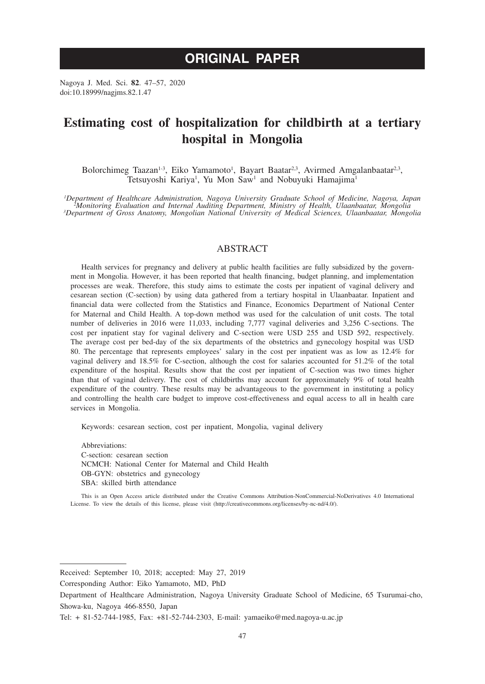# **ORIGINAL PAPER**

Nagoya J. Med. Sci. **82**. 47–57, 2020 doi:10.18999/nagjms.82.1.47

# **Estimating cost of hospitalization for childbirth at a tertiary hospital in Mongolia**

Bolorchimeg Taazan<sup>1-3</sup>, Eiko Yamamoto<sup>1</sup>, Bayart Baatar<sup>2,3</sup>, Avirmed Amgalanbaatar<sup>2,3</sup>, Tetsuyoshi Kariya<sup>1</sup>, Yu Mon Saw<sup>1</sup> and Nobuyuki Hamajima<sup>1</sup>

<sup>1</sup>Department of Healthcare Administration, Nagoya University Graduate School of Medicine, Nagoya, Japan<br>Monitoring Evaluation and Internal Auditing Department, Ministry of Health, Ulaanbaatar, Mongolia<sup>3</sup><br>Department of Gr

## ABSTRACT

Health services for pregnancy and delivery at public health facilities are fully subsidized by the government in Mongolia. However, it has been reported that health financing, budget planning, and implementation processes are weak. Therefore, this study aims to estimate the costs per inpatient of vaginal delivery and cesarean section (C-section) by using data gathered from a tertiary hospital in Ulaanbaatar. Inpatient and financial data were collected from the Statistics and Finance, Economics Department of National Center for Maternal and Child Health. A top-down method was used for the calculation of unit costs. The total number of deliveries in 2016 were 11,033, including 7,777 vaginal deliveries and 3,256 C-sections. The cost per inpatient stay for vaginal delivery and C-section were USD 255 and USD 592, respectively. The average cost per bed-day of the six departments of the obstetrics and gynecology hospital was USD 80. The percentage that represents employees' salary in the cost per inpatient was as low as 12.4% for vaginal delivery and 18.5% for C-section, although the cost for salaries accounted for 51.2% of the total expenditure of the hospital. Results show that the cost per inpatient of C-section was two times higher than that of vaginal delivery. The cost of childbirths may account for approximately 9% of total health expenditure of the country. These results may be advantageous to the government in instituting a policy and controlling the health care budget to improve cost-effectiveness and equal access to all in health care services in Mongolia.

Keywords: cesarean section, cost per inpatient, Mongolia, vaginal delivery

Abbreviations: C-section: cesarean section NCMCH: National Center for Maternal and Child Health OB-GYN: obstetrics and gynecology SBA: skilled birth attendance

This is an Open Access article distributed under the Creative Commons Attribution-NonCommercial-NoDerivatives 4.0 International License. To view the details of this license, please visit (http://creativecommons.org/licenses/by-nc-nd/4.0/).

Received: September 10, 2018; accepted: May 27, 2019

Corresponding Author: Eiko Yamamoto, MD, PhD

Department of Healthcare Administration, Nagoya University Graduate School of Medicine, 65 Tsurumai-cho, Showa-ku, Nagoya 466-8550, Japan

Tel: + 81-52-744-1985, Fax: +81-52-744-2303, E-mail: yamaeiko@med.nagoya-u.ac.jp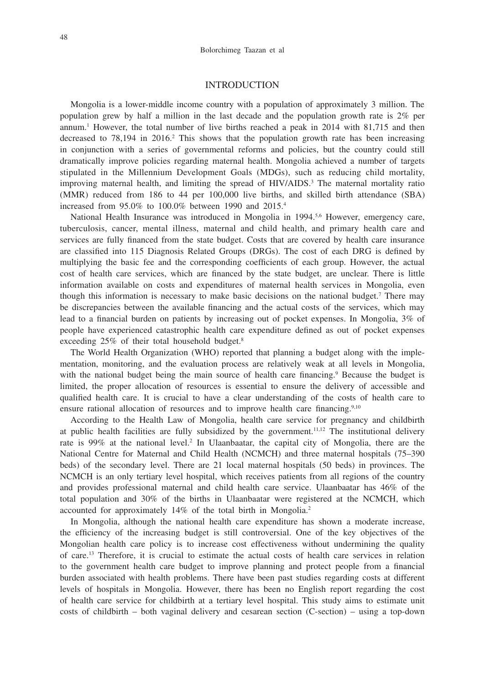## INTRODUCTION

Mongolia is a lower-middle income country with a population of approximately 3 million. The population grew by half a million in the last decade and the population growth rate is 2% per annum.1 However, the total number of live births reached a peak in 2014 with 81,715 and then decreased to  $78,194$  in  $2016<sup>2</sup>$  This shows that the population growth rate has been increasing in conjunction with a series of governmental reforms and policies, but the country could still dramatically improve policies regarding maternal health. Mongolia achieved a number of targets stipulated in the Millennium Development Goals (MDGs), such as reducing child mortality, improving maternal health, and limiting the spread of HIV/AIDS.<sup>3</sup> The maternal mortality ratio (MMR) reduced from 186 to 44 per 100,000 live births, and skilled birth attendance (SBA) increased from 95.0% to 100.0% between 1990 and 2015.4

National Health Insurance was introduced in Mongolia in 1994.<sup>5,6</sup> However, emergency care, tuberculosis, cancer, mental illness, maternal and child health, and primary health care and services are fully financed from the state budget. Costs that are covered by health care insurance are classified into 115 Diagnosis Related Groups (DRGs). The cost of each DRG is defined by multiplying the basic fee and the corresponding coefficients of each group. However, the actual cost of health care services, which are financed by the state budget, are unclear. There is little information available on costs and expenditures of maternal health services in Mongolia, even though this information is necessary to make basic decisions on the national budget.<sup>7</sup> There may be discrepancies between the available financing and the actual costs of the services, which may lead to a financial burden on patients by increasing out of pocket expenses. In Mongolia, 3% of people have experienced catastrophic health care expenditure defined as out of pocket expenses exceeding 25% of their total household budget.8

The World Health Organization (WHO) reported that planning a budget along with the implementation, monitoring, and the evaluation process are relatively weak at all levels in Mongolia, with the national budget being the main source of health care financing.<sup>9</sup> Because the budget is limited, the proper allocation of resources is essential to ensure the delivery of accessible and qualified health care. It is crucial to have a clear understanding of the costs of health care to ensure rational allocation of resources and to improve health care financing.<sup>9,10</sup>

According to the Health Law of Mongolia, health care service for pregnancy and childbirth at public health facilities are fully subsidized by the government.<sup>11,12</sup> The institutional delivery rate is 99% at the national level.<sup>2</sup> In Ulaanbaatar, the capital city of Mongolia, there are the National Centre for Maternal and Child Health (NCMCH) and three maternal hospitals (75–390 beds) of the secondary level. There are 21 local maternal hospitals (50 beds) in provinces. The NCMCH is an only tertiary level hospital, which receives patients from all regions of the country and provides professional maternal and child health care service. Ulaanbaatar has 46% of the total population and 30% of the births in Ulaanbaatar were registered at the NCMCH, which accounted for approximately 14% of the total birth in Mongolia.2

In Mongolia, although the national health care expenditure has shown a moderate increase, the efficiency of the increasing budget is still controversial. One of the key objectives of the Mongolian health care policy is to increase cost effectiveness without undermining the quality of care.13 Therefore, it is crucial to estimate the actual costs of health care services in relation to the government health care budget to improve planning and protect people from a financial burden associated with health problems. There have been past studies regarding costs at different levels of hospitals in Mongolia. However, there has been no English report regarding the cost of health care service for childbirth at a tertiary level hospital. This study aims to estimate unit costs of childbirth – both vaginal delivery and cesarean section (C-section) – using a top-down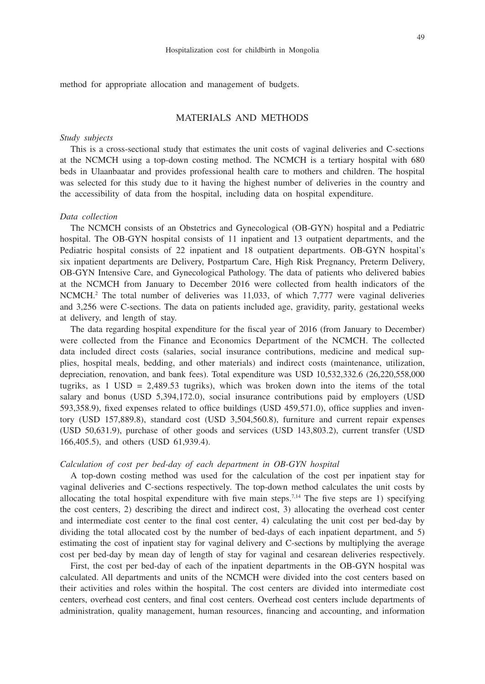method for appropriate allocation and management of budgets.

## MATERIALS AND METHODS

#### *Study subjects*

This is a cross-sectional study that estimates the unit costs of vaginal deliveries and C-sections at the NCMCH using a top-down costing method. The NCMCH is a tertiary hospital with 680 beds in Ulaanbaatar and provides professional health care to mothers and children. The hospital was selected for this study due to it having the highest number of deliveries in the country and the accessibility of data from the hospital, including data on hospital expenditure.

## *Data collection*

The NCMCH consists of an Obstetrics and Gynecological (OB-GYN) hospital and a Pediatric hospital. The OB-GYN hospital consists of 11 inpatient and 13 outpatient departments, and the Pediatric hospital consists of 22 inpatient and 18 outpatient departments. OB-GYN hospital's six inpatient departments are Delivery, Postpartum Care, High Risk Pregnancy, Preterm Delivery, OB-GYN Intensive Care, and Gynecological Pathology. The data of patients who delivered babies at the NCMCH from January to December 2016 were collected from health indicators of the NCMCH.2 The total number of deliveries was 11,033, of which 7,777 were vaginal deliveries and 3,256 were C-sections. The data on patients included age, gravidity, parity, gestational weeks at delivery, and length of stay.

The data regarding hospital expenditure for the fiscal year of 2016 (from January to December) were collected from the Finance and Economics Department of the NCMCH. The collected data included direct costs (salaries, social insurance contributions, medicine and medical supplies, hospital meals, bedding, and other materials) and indirect costs (maintenance, utilization, depreciation, renovation, and bank fees). Total expenditure was USD 10,532,332.6 (26,220,558,000 tugriks, as  $1 \text{ USD} = 2,489.53$  tugriks), which was broken down into the items of the total salary and bonus (USD 5,394,172.0), social insurance contributions paid by employers (USD 593,358.9), fixed expenses related to office buildings (USD 459,571.0), office supplies and inventory (USD 157,889.8), standard cost (USD 3,504,560.8), furniture and current repair expenses (USD 50,631.9), purchase of other goods and services (USD 143,803.2), current transfer (USD 166,405.5), and others (USD 61,939.4).

#### *Calculation of cost per bed-day of each department in OB-GYN hospital*

A top-down costing method was used for the calculation of the cost per inpatient stay for vaginal deliveries and C-sections respectively. The top-down method calculates the unit costs by allocating the total hospital expenditure with five main steps.<sup>7,14</sup> The five steps are 1) specifying the cost centers, 2) describing the direct and indirect cost, 3) allocating the overhead cost center and intermediate cost center to the final cost center, 4) calculating the unit cost per bed-day by dividing the total allocated cost by the number of bed-days of each inpatient department, and 5) estimating the cost of inpatient stay for vaginal delivery and C-sections by multiplying the average cost per bed-day by mean day of length of stay for vaginal and cesarean deliveries respectively.

First, the cost per bed-day of each of the inpatient departments in the OB-GYN hospital was calculated. All departments and units of the NCMCH were divided into the cost centers based on their activities and roles within the hospital. The cost centers are divided into intermediate cost centers, overhead cost centers, and final cost centers. Overhead cost centers include departments of administration, quality management, human resources, financing and accounting, and information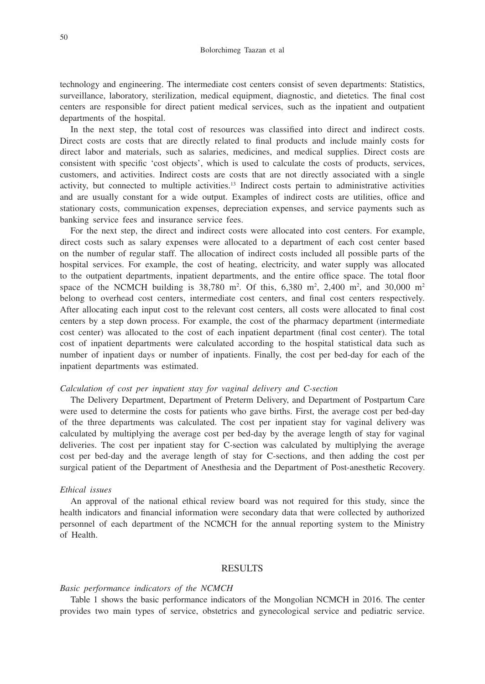technology and engineering. The intermediate cost centers consist of seven departments: Statistics, surveillance, laboratory, sterilization, medical equipment, diagnostic, and dietetics. The final cost centers are responsible for direct patient medical services, such as the inpatient and outpatient departments of the hospital.

In the next step, the total cost of resources was classified into direct and indirect costs. Direct costs are costs that are directly related to final products and include mainly costs for direct labor and materials, such as salaries, medicines, and medical supplies. Direct costs are consistent with specific 'cost objects', which is used to calculate the costs of products, services, customers, and activities. Indirect costs are costs that are not directly associated with a single activity, but connected to multiple activities.13 Indirect costs pertain to administrative activities and are usually constant for a wide output. Examples of indirect costs are utilities, office and stationary costs, communication expenses, depreciation expenses, and service payments such as banking service fees and insurance service fees.

For the next step, the direct and indirect costs were allocated into cost centers. For example, direct costs such as salary expenses were allocated to a department of each cost center based on the number of regular staff. The allocation of indirect costs included all possible parts of the hospital services. For example, the cost of heating, electricity, and water supply was allocated to the outpatient departments, inpatient departments, and the entire office space. The total floor space of the NCMCH building is  $38,780$  m<sup>2</sup>. Of this,  $6,380$  m<sup>2</sup>,  $2,400$  m<sup>2</sup>, and  $30,000$  m<sup>2</sup> belong to overhead cost centers, intermediate cost centers, and final cost centers respectively. After allocating each input cost to the relevant cost centers, all costs were allocated to final cost centers by a step down process. For example, the cost of the pharmacy department (intermediate cost center) was allocated to the cost of each inpatient department (final cost center). The total cost of inpatient departments were calculated according to the hospital statistical data such as number of inpatient days or number of inpatients. Finally, the cost per bed-day for each of the inpatient departments was estimated.

### *Calculation of cost per inpatient stay for vaginal delivery and C-section*

The Delivery Department, Department of Preterm Delivery, and Department of Postpartum Care were used to determine the costs for patients who gave births. First, the average cost per bed-day of the three departments was calculated. The cost per inpatient stay for vaginal delivery was calculated by multiplying the average cost per bed-day by the average length of stay for vaginal deliveries. The cost per inpatient stay for C-section was calculated by multiplying the average cost per bed-day and the average length of stay for C-sections, and then adding the cost per surgical patient of the Department of Anesthesia and the Department of Post-anesthetic Recovery.

#### *Ethical issues*

An approval of the national ethical review board was not required for this study, since the health indicators and financial information were secondary data that were collected by authorized personnel of each department of the NCMCH for the annual reporting system to the Ministry of Health.

# RESULTS

#### *Basic performance indicators of the NCMCH*

Table 1 shows the basic performance indicators of the Mongolian NCMCH in 2016. The center provides two main types of service, obstetrics and gynecological service and pediatric service.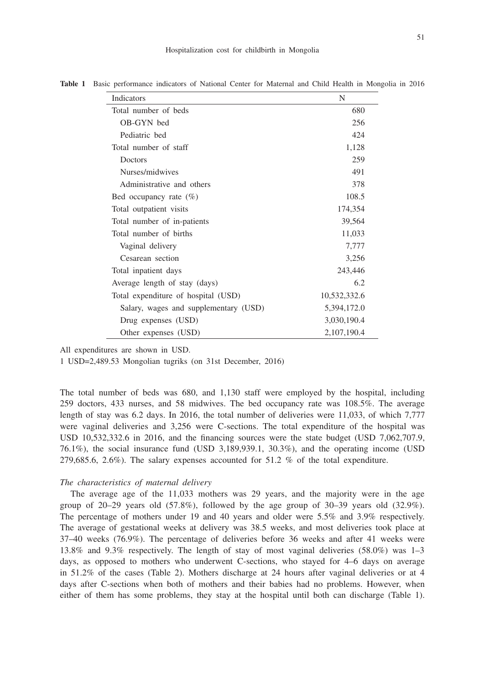Hospitalization cost for childbirth in Mongolia

| Indicators                            | N            |
|---------------------------------------|--------------|
| Total number of beds                  | 680          |
| OB-GYN bed                            | 256          |
| Pediatric bed                         | 424          |
| Total number of staff                 | 1,128        |
| Doctors                               | 259          |
| Nurses/midwives                       | 491          |
| Administrative and others             | 378          |
| Bed occupancy rate $(\%)$             | 108.5        |
| Total outpatient visits               | 174,354      |
| Total number of in-patients           | 39,564       |
| Total number of births                | 11,033       |
| Vaginal delivery                      | 7,777        |
| Cesarean section                      | 3,256        |
| Total inpatient days                  | 243,446      |
| Average length of stay (days)         | 6.2          |
| Total expenditure of hospital (USD)   | 10,532,332.6 |
| Salary, wages and supplementary (USD) | 5,394,172.0  |
| Drug expenses (USD)                   | 3,030,190.4  |
| Other expenses (USD)                  | 2,107,190.4  |

**Table 1** Basic performance indicators of National Center for Maternal and Child Health in Mongolia in 2016

All expenditures are shown in USD.

1 USD=2,489.53 Mongolian tugriks (on 31st December, 2016)

The total number of beds was 680, and 1,130 staff were employed by the hospital, including 259 doctors, 433 nurses, and 58 midwives. The bed occupancy rate was 108.5%. The average length of stay was 6.2 days. In 2016, the total number of deliveries were 11,033, of which 7,777 were vaginal deliveries and 3,256 were C-sections. The total expenditure of the hospital was USD 10,532,332.6 in 2016, and the financing sources were the state budget (USD 7,062,707.9, 76.1%), the social insurance fund (USD 3,189,939.1, 30.3%), and the operating income (USD 279,685.6, 2.6%). The salary expenses accounted for 51.2 % of the total expenditure.

#### *The characteristics of maternal delivery*

The average age of the 11,033 mothers was 29 years, and the majority were in the age group of  $20-29$  years old  $(57.8\%)$ , followed by the age group of  $30-39$  years old  $(32.9\%)$ . The percentage of mothers under 19 and 40 years and older were 5.5% and 3.9% respectively. The average of gestational weeks at delivery was 38.5 weeks, and most deliveries took place at 37–40 weeks (76.9%). The percentage of deliveries before 36 weeks and after 41 weeks were 13.8% and 9.3% respectively. The length of stay of most vaginal deliveries (58.0%) was 1–3 days, as opposed to mothers who underwent C-sections, who stayed for 4–6 days on average in 51.2% of the cases (Table 2). Mothers discharge at 24 hours after vaginal deliveries or at 4 days after C-sections when both of mothers and their babies had no problems. However, when either of them has some problems, they stay at the hospital until both can discharge (Table 1).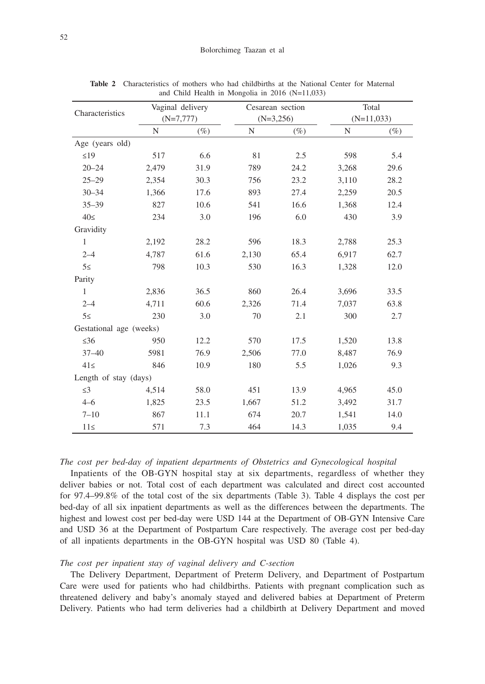|                         | Vaginal delivery |             | Cesarean section |        | Total        |        |  |
|-------------------------|------------------|-------------|------------------|--------|--------------|--------|--|
| Characteristics         |                  | $(N=7,777)$ | $(N=3,256)$      |        | $(N=11,033)$ |        |  |
|                         | N                | $(\%)$      | N                | $(\%)$ | N            | $(\%)$ |  |
| Age (years old)         |                  |             |                  |        |              |        |  |
| $\leq$ 19               | 517              | 6.6         | 81               | 2.5    | 598          | 5.4    |  |
| $20 - 24$               | 2,479            | 31.9        | 789              | 24.2   | 3,268        | 29.6   |  |
| $25 - 29$               | 2,354            | 30.3        | 756              | 23.2   | 3,110        | 28.2   |  |
| $30 - 34$               | 1,366            | 17.6        | 893              | 27.4   | 2,259        | 20.5   |  |
| $35 - 39$               | 827              | 10.6        | 541              | 16.6   | 1,368        | 12.4   |  |
| 40<                     | 234              | 3.0         | 196              | 6.0    | 430          | 3.9    |  |
| Gravidity               |                  |             |                  |        |              |        |  |
| $\mathbf{1}$            | 2,192            | 28.2        | 596              | 18.3   | 2,788        | 25.3   |  |
| $2 - 4$                 | 4,787            | 61.6        | 2,130            | 65.4   | 6,917        | 62.7   |  |
| $5 \le$                 | 798              | 10.3        | 530              | 16.3   | 1,328        | 12.0   |  |
| Parity                  |                  |             |                  |        |              |        |  |
| $\mathbf{1}$            | 2,836            | 36.5        | 860              | 26.4   | 3,696        | 33.5   |  |
| $2 - 4$                 | 4,711            | 60.6        | 2,326            | 71.4   | 7,037        | 63.8   |  |
| $5 \le$                 | 230              | 3.0         | 70               | 2.1    | 300          | 2.7    |  |
| Gestational age (weeks) |                  |             |                  |        |              |        |  |
| $\leq 36$               | 950              | 12.2        | 570              | 17.5   | 1,520        | 13.8   |  |
| $37 - 40$               | 5981             | 76.9        | 2,506            | 77.0   | 8,487        | 76.9   |  |
| $41 \leq$               | 846              | 10.9        | 180              | 5.5    | 1,026        | 9.3    |  |
| Length of stay (days)   |                  |             |                  |        |              |        |  |
| $\leq$ 3                | 4,514            | 58.0        | 451              | 13.9   | 4,965        | 45.0   |  |
| $4 - 6$                 | 1,825            | 23.5        | 1,667            | 51.2   | 3,492        | 31.7   |  |
| $7 - 10$                | 867              | 11.1        | 674              | 20.7   | 1,541        | 14.0   |  |
| $11 \leq$               | 571              | 7.3         | 464              | 14.3   | 1,035        | 9.4    |  |

**Table 2** Characteristics of mothers who had childbirths at the National Center for Maternal and Child Health in Mongolia in 2016 (N=11,033)

# *The cost per bed-day of inpatient departments of Obstetrics and Gynecological hospital*

Inpatients of the OB-GYN hospital stay at six departments, regardless of whether they deliver babies or not. Total cost of each department was calculated and direct cost accounted for 97.4–99.8% of the total cost of the six departments (Table 3). Table 4 displays the cost per bed-day of all six inpatient departments as well as the differences between the departments. The highest and lowest cost per bed-day were USD 144 at the Department of OB-GYN Intensive Care and USD 36 at the Department of Postpartum Care respectively. The average cost per bed-day of all inpatients departments in the OB-GYN hospital was USD 80 (Table 4).

# *The cost per inpatient stay of vaginal delivery and C-section*

The Delivery Department, Department of Preterm Delivery, and Department of Postpartum Care were used for patients who had childbirths. Patients with pregnant complication such as threatened delivery and baby's anomaly stayed and delivered babies at Department of Preterm Delivery. Patients who had term deliveries had a childbirth at Delivery Department and moved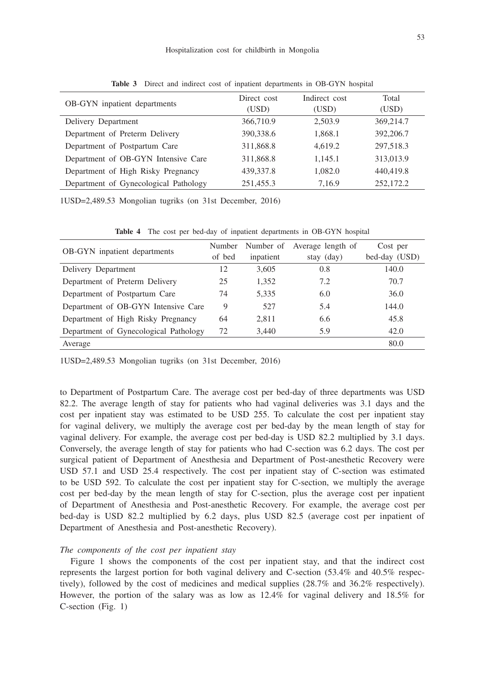#### Hospitalization cost for childbirth in Mongolia

| OB-GYN inpatient departments          | Direct cost<br>(USD) | Indirect cost<br>(USD) | Total<br>(USD) |
|---------------------------------------|----------------------|------------------------|----------------|
| Delivery Department                   | 366,710.9            | 2,503.9                | 369,214.7      |
| Department of Preterm Delivery        | 390,338.6            | 1,868.1                | 392,206.7      |
| Department of Postpartum Care         | 311,868.8            | 4.619.2                | 297,518.3      |
| Department of OB-GYN Intensive Care   | 311,868.8            | 1.145.1                | 313,013.9      |
| Department of High Risky Pregnancy    | 439, 337.8           | 1,082.0                | 440,419.8      |
| Department of Gynecological Pathology | 251,455.3            | 7,16.9                 | 252,172.2      |

**Table 3** Direct and indirect cost of inpatient departments in OB-GYN hospital

1USD=2,489.53 Mongolian tugriks (on 31st December, 2016)

| <b>OB-GYN</b> inpatient departments   | Number<br>of bed | Number of<br>inpatient | Average length of<br>stay (day) | Cost per<br>bed-day (USD) |
|---------------------------------------|------------------|------------------------|---------------------------------|---------------------------|
| Delivery Department                   | 12               | 3,605                  | 0.8                             | 140.0                     |
| Department of Preterm Delivery        | 25               | 1,352                  | 7.2                             | 70.7                      |
| Department of Postpartum Care         | 74               | 5,335                  | 6.0                             | 36.0                      |
| Department of OB-GYN Intensive Care   | 9                | 527                    | 5.4                             | 144.0                     |
| Department of High Risky Pregnancy    | 64               | 2,811                  | 6.6                             | 45.8                      |
| Department of Gynecological Pathology | 72               | 3,440                  | 5.9                             | 42.0                      |
| Average                               |                  |                        |                                 | 80.0                      |

**Table 4** The cost per bed-day of inpatient departments in OB-GYN hospital

1USD=2,489.53 Mongolian tugriks (on 31st December, 2016)

to Department of Postpartum Care. The average cost per bed-day of three departments was USD 82.2. The average length of stay for patients who had vaginal deliveries was 3.1 days and the cost per inpatient stay was estimated to be USD 255. To calculate the cost per inpatient stay for vaginal delivery, we multiply the average cost per bed-day by the mean length of stay for vaginal delivery. For example, the average cost per bed-day is USD 82.2 multiplied by 3.1 days. Conversely, the average length of stay for patients who had C-section was 6.2 days. The cost per surgical patient of Department of Anesthesia and Department of Post-anesthetic Recovery were USD 57.1 and USD 25.4 respectively. The cost per inpatient stay of C-section was estimated to be USD 592. To calculate the cost per inpatient stay for C-section, we multiply the average cost per bed-day by the mean length of stay for C-section, plus the average cost per inpatient of Department of Anesthesia and Post-anesthetic Recovery. For example, the average cost per bed-day is USD 82.2 multiplied by 6.2 days, plus USD 82.5 (average cost per inpatient of Department of Anesthesia and Post-anesthetic Recovery).

## *The components of the cost per inpatient stay*

Figure 1 shows the components of the cost per inpatient stay, and that the indirect cost represents the largest portion for both vaginal delivery and C-section (53.4% and 40.5% respectively), followed by the cost of medicines and medical supplies (28.7% and 36.2% respectively). However, the portion of the salary was as low as 12.4% for vaginal delivery and 18.5% for C-section (Fig. 1)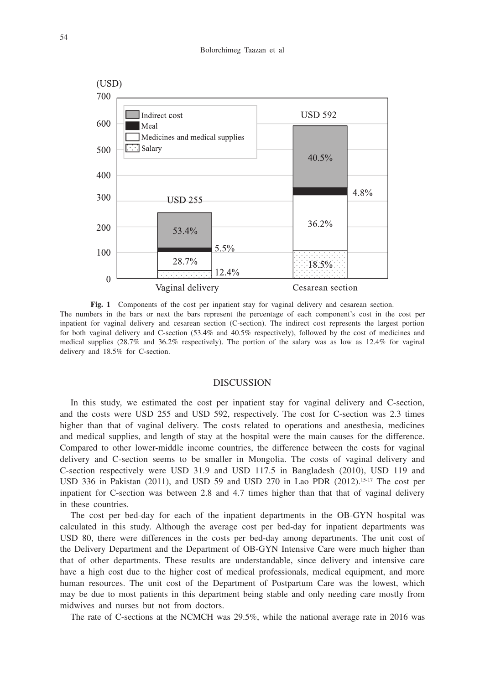

Fig. 1 Components of the cost per inpatient stay for vaginal delivery and cesarean section. The numbers in the bars or next the bars represent the percentage of each component's cost in the cost per inpatient for vaginal delivery and cesarean section (C-section). The indirect cost represents the largest portion for both vaginal delivery and C-section (53.4% and 40.5% respectively), followed by the cost of medicines and medical supplies (28.7% and 36.2% respectively). The portion of the salary was as low as 12.4% for vaginal delivery and 18.5% for C-section.

### DISCUSSION

In this study, we estimated the cost per inpatient stay for vaginal delivery and C-section, and the costs were USD 255 and USD 592, respectively. The cost for C-section was 2.3 times higher than that of vaginal delivery. The costs related to operations and anesthesia, medicines and medical supplies, and length of stay at the hospital were the main causes for the difference. Compared to other lower-middle income countries, the difference between the costs for vaginal delivery and C-section seems to be smaller in Mongolia. The costs of vaginal delivery and C-section respectively were USD 31.9 and USD 117.5 in Bangladesh (2010), USD 119 and USD 336 in Pakistan (2011), and USD 59 and USD 270 in Lao PDR (2012).<sup>15-17</sup> The cost per inpatient for C-section was between 2.8 and 4.7 times higher than that that of vaginal delivery in these countries.

The cost per bed-day for each of the inpatient departments in the OB-GYN hospital was calculated in this study. Although the average cost per bed-day for inpatient departments was USD 80, there were differences in the costs per bed-day among departments. The unit cost of the Delivery Department and the Department of OB-GYN Intensive Care were much higher than that of other departments. These results are understandable, since delivery and intensive care have a high cost due to the higher cost of medical professionals, medical equipment, and more human resources. The unit cost of the Department of Postpartum Care was the lowest, which may be due to most patients in this department being stable and only needing care mostly from midwives and nurses but not from doctors.

The rate of C-sections at the NCMCH was 29.5%, while the national average rate in 2016 was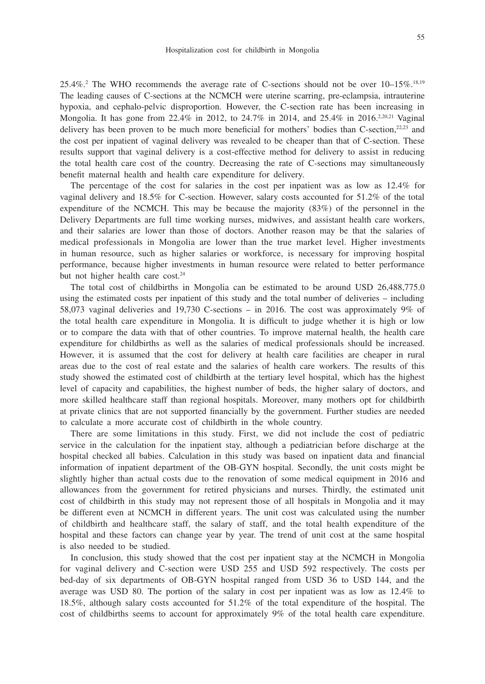$25.4\%$ <sup>2</sup> The WHO recommends the average rate of C-sections should not be over  $10-15\%$ <sup>18,19</sup> The leading causes of C-sections at the NCMCH were uterine scarring, pre-eclampsia, intrauterine hypoxia, and cephalo-pelvic disproportion. However, the C-section rate has been increasing in Mongolia. It has gone from 22.4% in 2012, to 24.7% in 2014, and 25.4% in 2016.<sup>2,20,21</sup> Vaginal delivery has been proven to be much more beneficial for mothers' bodies than C-section,<sup>22,23</sup> and the cost per inpatient of vaginal delivery was revealed to be cheaper than that of C-section. These results support that vaginal delivery is a cost-effective method for delivery to assist in reducing the total health care cost of the country. Decreasing the rate of C-sections may simultaneously benefit maternal health and health care expenditure for delivery.

The percentage of the cost for salaries in the cost per inpatient was as low as 12.4% for vaginal delivery and 18.5% for C-section. However, salary costs accounted for 51.2% of the total expenditure of the NCMCH. This may be because the majority (83%) of the personnel in the Delivery Departments are full time working nurses, midwives, and assistant health care workers, and their salaries are lower than those of doctors. Another reason may be that the salaries of medical professionals in Mongolia are lower than the true market level. Higher investments in human resource, such as higher salaries or workforce, is necessary for improving hospital performance, because higher investments in human resource were related to better performance but not higher health care cost.<sup>24</sup>

The total cost of childbirths in Mongolia can be estimated to be around USD 26,488,775.0 using the estimated costs per inpatient of this study and the total number of deliveries – including 58,073 vaginal deliveries and 19,730 C-sections – in 2016. The cost was approximately 9% of the total health care expenditure in Mongolia. It is difficult to judge whether it is high or low or to compare the data with that of other countries. To improve maternal health, the health care expenditure for childbirths as well as the salaries of medical professionals should be increased. However, it is assumed that the cost for delivery at health care facilities are cheaper in rural areas due to the cost of real estate and the salaries of health care workers. The results of this study showed the estimated cost of childbirth at the tertiary level hospital, which has the highest level of capacity and capabilities, the highest number of beds, the higher salary of doctors, and more skilled healthcare staff than regional hospitals. Moreover, many mothers opt for childbirth at private clinics that are not supported financially by the government. Further studies are needed to calculate a more accurate cost of childbirth in the whole country.

There are some limitations in this study. First, we did not include the cost of pediatric service in the calculation for the inpatient stay, although a pediatrician before discharge at the hospital checked all babies. Calculation in this study was based on inpatient data and financial information of inpatient department of the OB-GYN hospital. Secondly, the unit costs might be slightly higher than actual costs due to the renovation of some medical equipment in 2016 and allowances from the government for retired physicians and nurses. Thirdly, the estimated unit cost of childbirth in this study may not represent those of all hospitals in Mongolia and it may be different even at NCMCH in different years. The unit cost was calculated using the number of childbirth and healthcare staff, the salary of staff, and the total health expenditure of the hospital and these factors can change year by year. The trend of unit cost at the same hospital is also needed to be studied.

In conclusion, this study showed that the cost per inpatient stay at the NCMCH in Mongolia for vaginal delivery and C-section were USD 255 and USD 592 respectively. The costs per bed-day of six departments of OB-GYN hospital ranged from USD 36 to USD 144, and the average was USD 80. The portion of the salary in cost per inpatient was as low as 12.4% to 18.5%, although salary costs accounted for 51.2% of the total expenditure of the hospital. The cost of childbirths seems to account for approximately 9% of the total health care expenditure.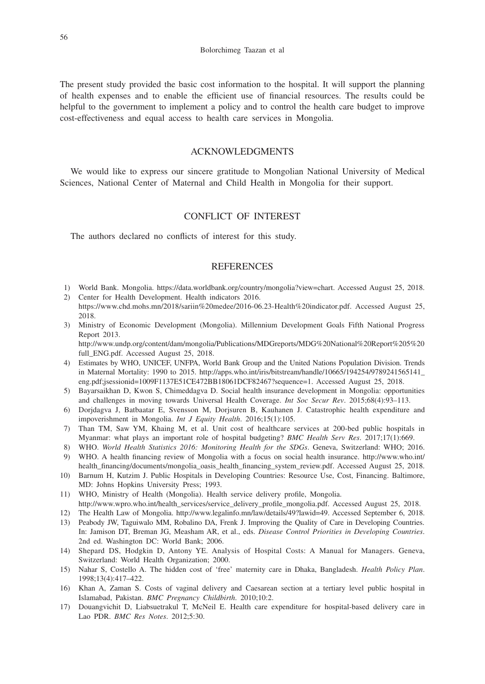The present study provided the basic cost information to the hospital. It will support the planning of health expenses and to enable the efficient use of financial resources. The results could be helpful to the government to implement a policy and to control the health care budget to improve cost-effectiveness and equal access to health care services in Mongolia.

# ACKNOWLEDGMENTS

We would like to express our sincere gratitude to Mongolian National University of Medical Sciences, National Center of Maternal and Child Health in Mongolia for their support.

# CONFLICT OF INTEREST

The authors declared no conflicts of interest for this study.

# **REFERENCES**

- 1) World Bank. Mongolia. https://data.worldbank.org/country/mongolia?view=chart. Accessed August 25, 2018.
- 2) Center for Health Development. Health indicators 2016. https://www.chd.mohs.mn/2018/sariin%20medee/2016-06.23-Health%20indicator.pdf. Accessed August 25, 2018.
- 3) Ministry of Economic Development (Mongolia). Millennium Development Goals Fifth National Progress Report 2013.

http://www.undp.org/content/dam/mongolia/Publications/MDGreports/MDG%20National%20Report%205%20 full\_ENG.pdf. Accessed August 25, 2018.

- 4) Estimates by WHO, UNICEF, UNFPA, World Bank Group and the United Nations Population Division. Trends in Maternal Mortality: 1990 to 2015. http://apps.who.int/iris/bitstream/handle/10665/194254/9789241565141\_ eng.pdf;jsessionid=1009F1137E51CE472BB18061DCF82467?sequence=1. Accessed August 25, 2018.
- 5) Bayarsaikhan D, Kwon S, Chimeddagva D. Social health insurance development in Mongolia: opportunities and challenges in moving towards Universal Health Coverage. *Int Soc Secur Rev*. 2015;68(4):93–113.
- 6) Dorjdagva J, Batbaatar E, Svensson M, Dorjsuren B, Kauhanen J. Catastrophic health expenditure and impoverishment in Mongolia. *Int J Equity Health*. 2016;15(1):105.
- 7) Than TM, Saw YM, Khaing M, et al. Unit cost of healthcare services at 200-bed public hospitals in Myanmar: what plays an important role of hospital budgeting? *BMC Health Serv Res*. 2017;17(1):669.
- 8) WHO. *World Health Statistics 2016: Monitoring Health for the SDGs*. Geneva, Switzerland: WHO; 2016.
- 9) WHO. A health financing review of Mongolia with a focus on social health insurance. http://www.who.int/ health\_financing/documents/mongolia\_oasis\_health\_financing\_system\_review.pdf. Accessed August 25, 2018.
- 10) Barnum H, Kutzim J. Public Hospitals in Developing Countries: Resource Use, Cost, Financing. Baltimore, MD: Johns Hopkins University Press; 1993.
- 11) WHO, Ministry of Health (Mongolia). Health service delivery profile, Mongolia.
- http://www.wpro.who.int/health\_services/service\_delivery\_profile\_mongolia.pdf. Accessed August 25, 2018. 12) The Health Law of Mongolia. http://www.legalinfo.mn/law/details/49?lawid=49. Accessed September 6, 2018.
- 13) Peabody JW, Taguiwalo MM, Robalino DA, Frenk J. Improving the Quality of Care in Developing Countries.
- In: Jamison DT, Breman JG, Measham AR, et al., eds. *Disease Control Priorities in Developing Countries*. 2nd ed. Washington DC: World Bank; 2006.
- 14) Shepard DS, Hodgkin D, Antony YE. Analysis of Hospital Costs: A Manual for Managers. Geneva, Switzerland: World Health Organization; 2000.
- 15) Nahar S, Costello A. The hidden cost of 'free' maternity care in Dhaka, Bangladesh. *Health Policy Plan*. 1998;13(4):417–422.
- 16) Khan A, Zaman S. Costs of vaginal delivery and Caesarean section at a tertiary level public hospital in Islamabad, Pakistan. *BMC Pregnancy Childbirth*. 2010;10:2.
- 17) Douangvichit D, Liabsuetrakul T, McNeil E. Health care expenditure for hospital-based delivery care in Lao PDR. *BMC Res Notes*. 2012;5:30.